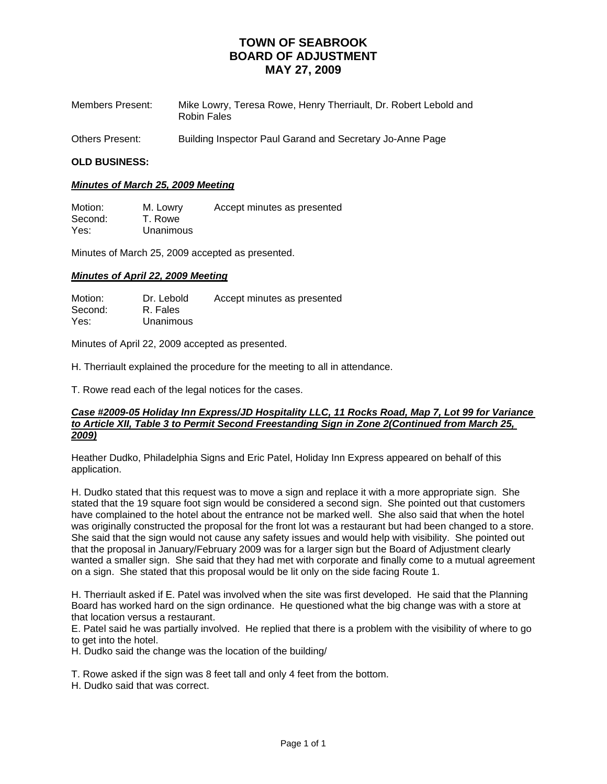| Members Present: | Mike Lowry, Teresa Rowe, Henry Therriault, Dr. Robert Lebold and<br>Robin Fales |
|------------------|---------------------------------------------------------------------------------|
| Others Present:  | Building Inspector Paul Garand and Secretary Jo-Anne Page                       |

### **OLD BUSINESS:**

### *Minutes of March 25, 2009 Meeting*

Motion: M. Lowry Accept minutes as presented Second: T. Rowe Yes: Unanimous

Minutes of March 25, 2009 accepted as presented.

### *Minutes of April 22, 2009 Meeting*

Motion: Dr. Lebold Accept minutes as presented<br>Second: R. Fales R. Fales Yes: Unanimous

Minutes of April 22, 2009 accepted as presented.

H. Therriault explained the procedure for the meeting to all in attendance.

T. Rowe read each of the legal notices for the cases.

#### *Case #2009-05 Holiday Inn Express/JD Hospitality LLC, 11 Rocks Road, Map 7, Lot 99 for Variance to Article XII, Table 3 to Permit Second Freestanding Sign in Zone 2(Continued from March 25, 2009)*

Heather Dudko, Philadelphia Signs and Eric Patel, Holiday Inn Express appeared on behalf of this application.

H. Dudko stated that this request was to move a sign and replace it with a more appropriate sign. She stated that the 19 square foot sign would be considered a second sign. She pointed out that customers have complained to the hotel about the entrance not be marked well. She also said that when the hotel was originally constructed the proposal for the front lot was a restaurant but had been changed to a store. She said that the sign would not cause any safety issues and would help with visibility. She pointed out that the proposal in January/February 2009 was for a larger sign but the Board of Adjustment clearly wanted a smaller sign. She said that they had met with corporate and finally come to a mutual agreement on a sign. She stated that this proposal would be lit only on the side facing Route 1.

H. Therriault asked if E. Patel was involved when the site was first developed. He said that the Planning Board has worked hard on the sign ordinance. He questioned what the big change was with a store at that location versus a restaurant.

E. Patel said he was partially involved. He replied that there is a problem with the visibility of where to go to get into the hotel.

H. Dudko said the change was the location of the building/

T. Rowe asked if the sign was 8 feet tall and only 4 feet from the bottom.

H. Dudko said that was correct.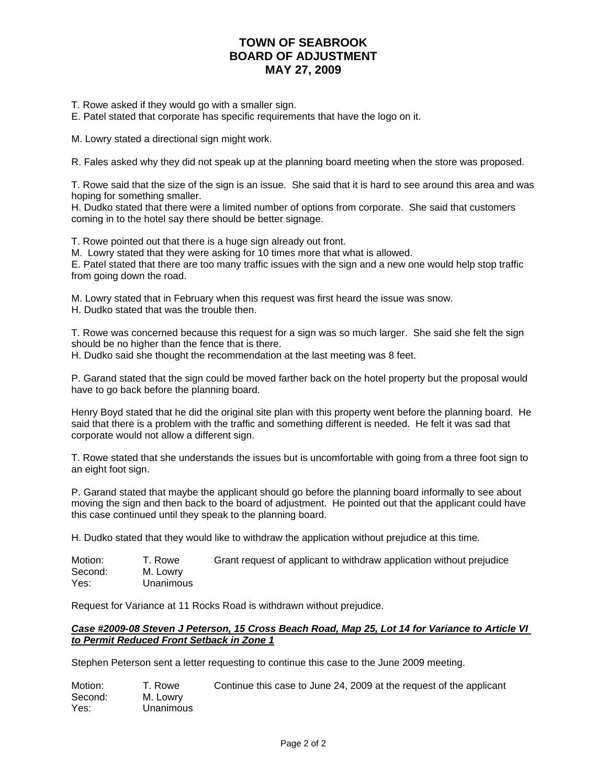T. Rowe asked if they would go with a smaller sign.

E. Patel stated that corporate has specific requirements that have the logo on it.

M. Lowry stated a directional sign might work.

R. Fales asked why they did not speak up at the planning board meeting when the store was proposed.

T. Rowe said that the size of the sign is an issue. She said that it is hard to see around this area and was hoping for something smaller.

H. Dudko stated that there were a limited number of options from corporate. She said that customers coming in to the hotel say there should be better signage.

T. Rowe pointed out that there is a huge sign already out front.

M. Lowry stated that they were asking for 10 times more that what is allowed.

E. Patel stated that there are too many traffic issues with the sign and a new one would help stop traffic from going down the road.

M. Lowry stated that in February when this request was first heard the issue was snow.

H. Dudko stated that was the trouble then.

T. Rowe was concerned because this request for a sign was so much larger. She said she felt the sign should be no higher than the fence that is there.

H. Dudko said she thought the recommendation at the last meeting was 8 feet.

P. Garand stated that the sign could be moved farther back on the hotel property but the proposal would have to go back before the planning board.

Henry Boyd stated that he did the original site plan with this property went before the planning board. He said that there is a problem with the traffic and something different is needed. He felt it was sad that corporate would not allow a different sign.

T. Rowe stated that she understands the issues but is uncomfortable with going from a three foot sign to an eight foot sign.

P. Garand stated that maybe the applicant should go before the planning board informally to see about moving the sign and then back to the board of adjustment. He pointed out that the applicant could have this case continued until they speak to the planning board.

H. Dudko stated that they would like to withdraw the application without prejudice at this time.

| Motion: | T. Rowe   | Grant request of applicant to withdraw application without prejudice |
|---------|-----------|----------------------------------------------------------------------|
| Second: | M. Lowry  |                                                                      |
| Yes:    | Unanimous |                                                                      |

Request for Variance at 11 Rocks Road is withdrawn without prejudice.

### *Case #2009-08 Steven J Peterson, 15 Cross Beach Road, Map 25, Lot 14 for Variance to Article VI to Permit Reduced Front Setback in Zone 1*

Stephen Peterson sent a letter requesting to continue this case to the June 2009 meeting.

| Motion: | T. Rowe          | Continue this case to June 24, 2009 at the request of the applicant |
|---------|------------------|---------------------------------------------------------------------|
| Second: | M. Lowry         |                                                                     |
| Yes:    | <b>Unanimous</b> |                                                                     |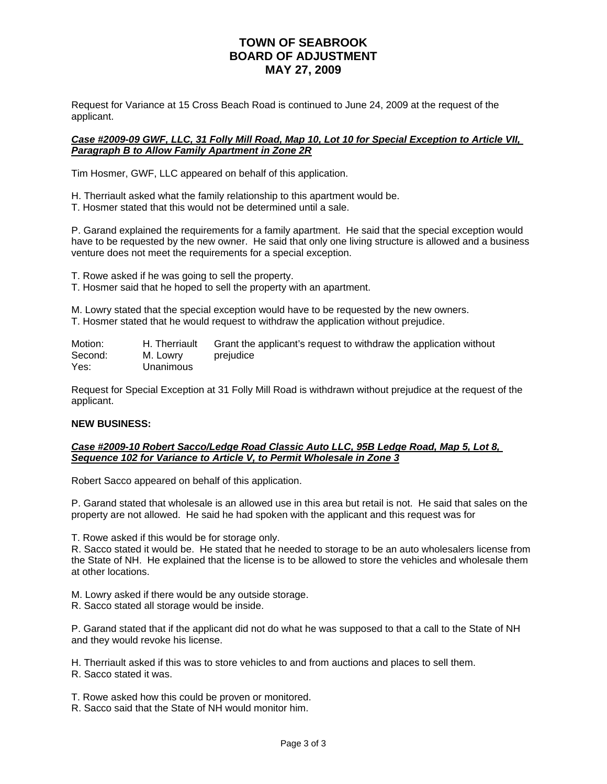Request for Variance at 15 Cross Beach Road is continued to June 24, 2009 at the request of the applicant.

### *Case #2009-09 GWF, LLC, 31 Folly Mill Road, Map 10, Lot 10 for Special Exception to Article VII, Paragraph B to Allow Family Apartment in Zone 2R*

Tim Hosmer, GWF, LLC appeared on behalf of this application.

H. Therriault asked what the family relationship to this apartment would be.

T. Hosmer stated that this would not be determined until a sale.

P. Garand explained the requirements for a family apartment. He said that the special exception would have to be requested by the new owner. He said that only one living structure is allowed and a business venture does not meet the requirements for a special exception.

T. Rowe asked if he was going to sell the property.

T. Hosmer said that he hoped to sell the property with an apartment.

M. Lowry stated that the special exception would have to be requested by the new owners. T. Hosmer stated that he would request to withdraw the application without prejudice.

Motion: H. Therriault Grant the applicant's request to withdraw the application without Second: M. Lowry prejudice Yes: Unanimous

Request for Special Exception at 31 Folly Mill Road is withdrawn without prejudice at the request of the applicant.

## **NEW BUSINESS:**

### *Case #2009-10 Robert Sacco/Ledge Road Classic Auto LLC, 95B Ledge Road, Map 5, Lot 8, Sequence 102 for Variance to Article V, to Permit Wholesale in Zone 3*

Robert Sacco appeared on behalf of this application.

P. Garand stated that wholesale is an allowed use in this area but retail is not. He said that sales on the property are not allowed. He said he had spoken with the applicant and this request was for

T. Rowe asked if this would be for storage only.

R. Sacco stated it would be. He stated that he needed to storage to be an auto wholesalers license from the State of NH. He explained that the license is to be allowed to store the vehicles and wholesale them at other locations.

M. Lowry asked if there would be any outside storage.

R. Sacco stated all storage would be inside.

P. Garand stated that if the applicant did not do what he was supposed to that a call to the State of NH and they would revoke his license.

H. Therriault asked if this was to store vehicles to and from auctions and places to sell them.

R. Sacco stated it was.

T. Rowe asked how this could be proven or monitored.

R. Sacco said that the State of NH would monitor him.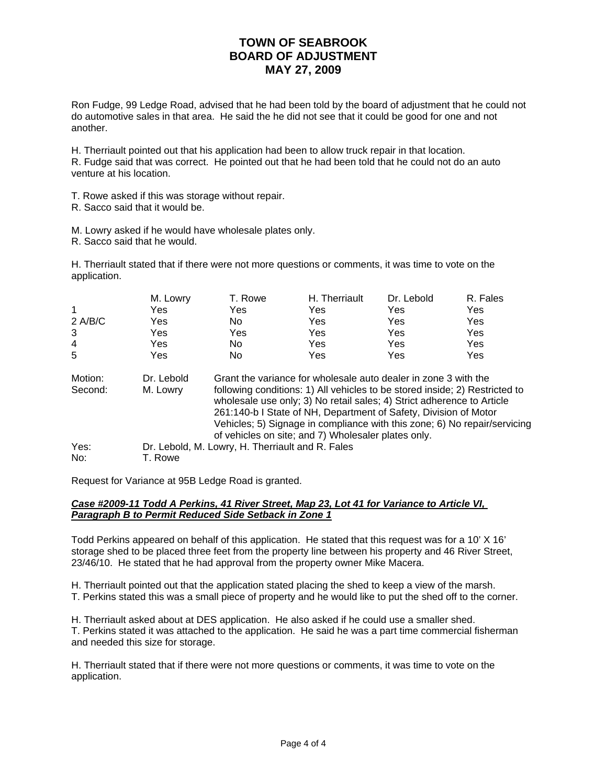Ron Fudge, 99 Ledge Road, advised that he had been told by the board of adjustment that he could not do automotive sales in that area. He said the he did not see that it could be good for one and not another.

H. Therriault pointed out that his application had been to allow truck repair in that location. R. Fudge said that was correct. He pointed out that he had been told that he could not do an auto venture at his location.

- T. Rowe asked if this was storage without repair.
- R. Sacco said that it would be.
- M. Lowry asked if he would have wholesale plates only.
- R. Sacco said that he would.

H. Therriault stated that if there were not more questions or comments, it was time to vote on the application.

|           | M. Lowry   | T. Rowe                                          | H. Therriault                                                                                                                                                                                                                                                                                                                                                 | Dr. Lebold | R. Fales |
|-----------|------------|--------------------------------------------------|---------------------------------------------------------------------------------------------------------------------------------------------------------------------------------------------------------------------------------------------------------------------------------------------------------------------------------------------------------------|------------|----------|
| 1         | Yes        | <b>Yes</b>                                       | Yes                                                                                                                                                                                                                                                                                                                                                           | Yes        | Yes      |
| $2$ A/B/C | Yes        | No.                                              | Yes                                                                                                                                                                                                                                                                                                                                                           | Yes        | Yes      |
| 3         | Yes        | Yes                                              | Yes                                                                                                                                                                                                                                                                                                                                                           | Yes        | Yes      |
| 4         | Yes        | No.                                              | Yes                                                                                                                                                                                                                                                                                                                                                           | Yes        | Yes      |
| 5         | Yes        | No.                                              | Yes                                                                                                                                                                                                                                                                                                                                                           | Yes        | Yes      |
| Motion:   | Dr. Lebold |                                                  | Grant the variance for wholesale auto dealer in zone 3 with the                                                                                                                                                                                                                                                                                               |            |          |
| Second:   | M. Lowry   |                                                  | following conditions: 1) All vehicles to be stored inside; 2) Restricted to<br>wholesale use only; 3) No retail sales; 4) Strict adherence to Article<br>261:140-b I State of NH, Department of Safety, Division of Motor<br>Vehicles; 5) Signage in compliance with this zone; 6) No repair/servicing<br>of vehicles on site; and 7) Wholesaler plates only. |            |          |
| Yes:      |            | Dr. Lebold, M. Lowry, H. Therriault and R. Fales |                                                                                                                                                                                                                                                                                                                                                               |            |          |
| No:       | T. Rowe    |                                                  |                                                                                                                                                                                                                                                                                                                                                               |            |          |

Request for Variance at 95B Ledge Road is granted.

and needed this size for storage.

### *Case #2009-11 Todd A Perkins, 41 River Street, Map 23, Lot 41 for Variance to Article VI, Paragraph B to Permit Reduced Side Setback in Zone 1*

Todd Perkins appeared on behalf of this application. He stated that this request was for a 10' X 16' storage shed to be placed three feet from the property line between his property and 46 River Street, 23/46/10. He stated that he had approval from the property owner Mike Macera.

H. Therriault pointed out that the application stated placing the shed to keep a view of the marsh. T. Perkins stated this was a small piece of property and he would like to put the shed off to the corner.

H. Therriault asked about at DES application. He also asked if he could use a smaller shed. T. Perkins stated it was attached to the application. He said he was a part time commercial fisherman

H. Therriault stated that if there were not more questions or comments, it was time to vote on the application.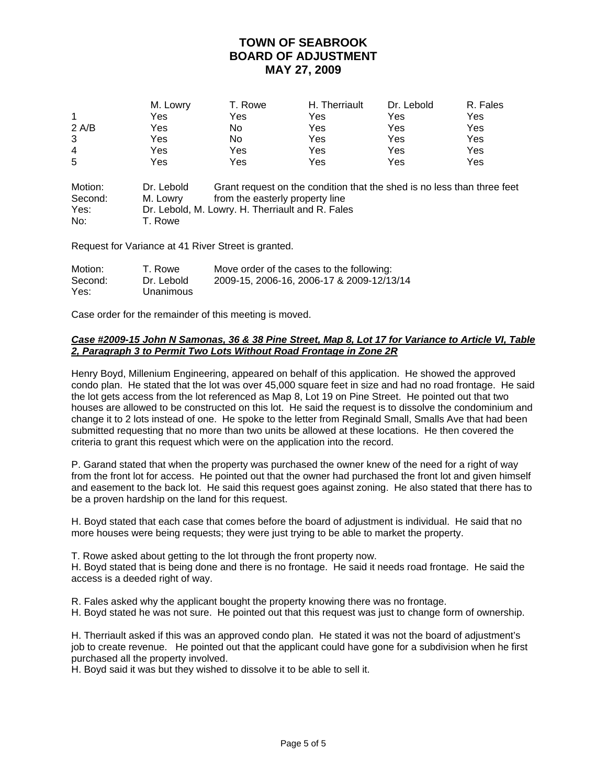|                | M. Lowry | T. Rowe | H. Therriault | Dr. Lebold | R. Fales |
|----------------|----------|---------|---------------|------------|----------|
| 1              | Yes      | Yes     | Yes           | Yes        | Yes      |
| 2 A/B          | Yes      | No      | Yes           | Yes        | Yes      |
| 3              | Yes      | No      | Yes           | Yes        | Yes      |
| $\overline{4}$ | Yes      | Yes     | Yes           | Yes        | Yes      |
| 5              | Yes      | Yes     | Yes           | Yes        | Yes      |

| Motion: | Dr. Lebold | Grant request on the condition that the shed is no less than three feet |
|---------|------------|-------------------------------------------------------------------------|
| Second: | M. Lowrv   | from the easterly property line                                         |
| Yes:    |            | Dr. Lebold, M. Lowry. H. Therriault and R. Fales                        |
| No:     | T. Rowe    |                                                                         |

Request for Variance at 41 River Street is granted.

| Motion: | T. Rowe    | Move order of the cases to the following: |
|---------|------------|-------------------------------------------|
| Second: | Dr. Lebold | 2009-15, 2006-16, 2006-17 & 2009-12/13/14 |
| Yes:    | Unanimous  |                                           |

Case order for the remainder of this meeting is moved.

### *Case #2009-15 John N Samonas, 36 & 38 Pine Street, Map 8, Lot 17 for Variance to Article VI, Table 2, Paragraph 3 to Permit Two Lots Without Road Frontage in Zone 2R*

Henry Boyd, Millenium Engineering, appeared on behalf of this application. He showed the approved condo plan. He stated that the lot was over 45,000 square feet in size and had no road frontage. He said the lot gets access from the lot referenced as Map 8, Lot 19 on Pine Street. He pointed out that two houses are allowed to be constructed on this lot. He said the request is to dissolve the condominium and change it to 2 lots instead of one. He spoke to the letter from Reginald Small, Smalls Ave that had been submitted requesting that no more than two units be allowed at these locations. He then covered the criteria to grant this request which were on the application into the record.

P. Garand stated that when the property was purchased the owner knew of the need for a right of way from the front lot for access. He pointed out that the owner had purchased the front lot and given himself and easement to the back lot. He said this request goes against zoning. He also stated that there has to be a proven hardship on the land for this request.

H. Boyd stated that each case that comes before the board of adjustment is individual. He said that no more houses were being requests; they were just trying to be able to market the property.

T. Rowe asked about getting to the lot through the front property now.

H. Boyd stated that is being done and there is no frontage. He said it needs road frontage. He said the access is a deeded right of way.

R. Fales asked why the applicant bought the property knowing there was no frontage.

H. Boyd stated he was not sure. He pointed out that this request was just to change form of ownership.

H. Therriault asked if this was an approved condo plan. He stated it was not the board of adjustment's job to create revenue. He pointed out that the applicant could have gone for a subdivision when he first purchased all the property involved.

H. Boyd said it was but they wished to dissolve it to be able to sell it.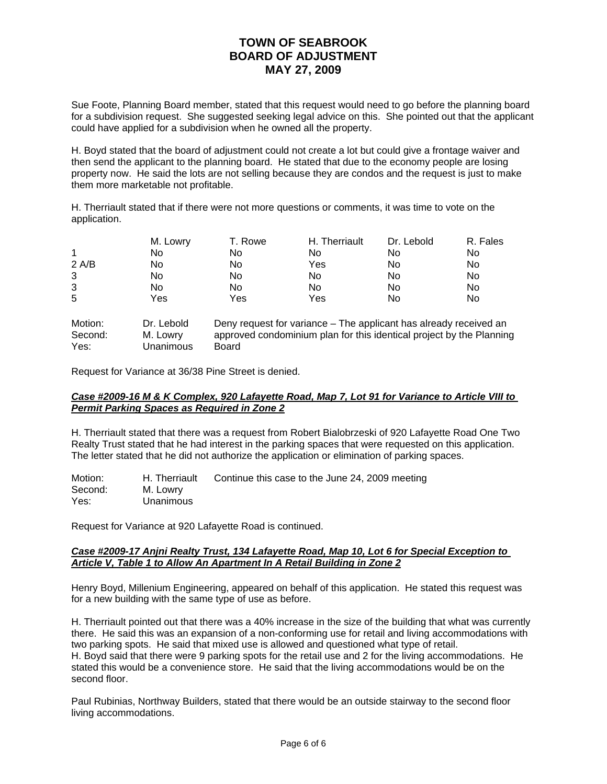Sue Foote, Planning Board member, stated that this request would need to go before the planning board for a subdivision request. She suggested seeking legal advice on this. She pointed out that the applicant could have applied for a subdivision when he owned all the property.

H. Boyd stated that the board of adjustment could not create a lot but could give a frontage waiver and then send the applicant to the planning board. He stated that due to the economy people are losing property now. He said the lots are not selling because they are condos and the request is just to make them more marketable not profitable.

H. Therriault stated that if there were not more questions or comments, it was time to vote on the application.

|       | M. Lowry | T. Rowe | H. Therriault | Dr. Lebold | R. Fales |
|-------|----------|---------|---------------|------------|----------|
| 1     | No       | No      | No            | No         | No.      |
| 2 A/B | No       | No      | Yes           | No         | No       |
| 3     | No       | No      | No            | No         | No       |
| 3     | No       | No      | No            | No         | No.      |
| 5     | Yes      | Yes     | Yes           | No         | No       |

| Motion: | Dr. Lebold       | Deny request for variance – The applicant has already received an    |
|---------|------------------|----------------------------------------------------------------------|
| Second: | M. Lowry         | approved condominium plan for this identical project by the Planning |
| Yes:    | <b>Unanimous</b> | Board                                                                |

Request for Variance at 36/38 Pine Street is denied.

### *Case #2009-16 M & K Complex, 920 Lafayette Road, Map 7, Lot 91 for Variance to Article VIII to Permit Parking Spaces as Required in Zone 2*

H. Therriault stated that there was a request from Robert Bialobrzeski of 920 Lafayette Road One Two Realty Trust stated that he had interest in the parking spaces that were requested on this application. The letter stated that he did not authorize the application or elimination of parking spaces.

Motion: H. Therriault Continue this case to the June 24, 2009 meeting<br>Second: M. Lowry M. Lowry Yes: Unanimous

Request for Variance at 920 Lafayette Road is continued.

### *Case #2009-17 Anjni Realty Trust, 134 Lafayette Road, Map 10, Lot 6 for Special Exception to Article V, Table 1 to Allow An Apartment In A Retail Building in Zone 2*

Henry Boyd, Millenium Engineering, appeared on behalf of this application. He stated this request was for a new building with the same type of use as before.

H. Therriault pointed out that there was a 40% increase in the size of the building that what was currently there. He said this was an expansion of a non-conforming use for retail and living accommodations with two parking spots. He said that mixed use is allowed and questioned what type of retail. H. Boyd said that there were 9 parking spots for the retail use and 2 for the living accommodations. He stated this would be a convenience store. He said that the living accommodations would be on the second floor.

Paul Rubinias, Northway Builders, stated that there would be an outside stairway to the second floor living accommodations.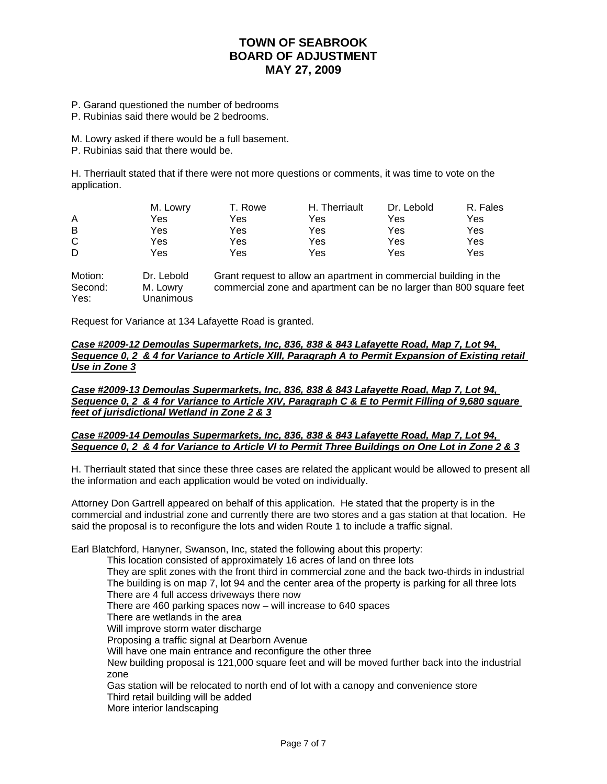- P. Garand questioned the number of bedrooms
- P. Rubinias said there would be 2 bedrooms.

M. Lowry asked if there would be a full basement.

P. Rubinias said that there would be.

H. Therriault stated that if there were not more questions or comments, it was time to vote on the application.

| M. Lowry | T. Rowe | H. Therriault | Dr. Lebold | R. Fales |
|----------|---------|---------------|------------|----------|
| Yes      | Yes     | Yes           | Yes        | Yes      |
| Yes      | Yes     | Yes           | Yes        | Yes      |
| Yes      | Yes     | Yes           | Yes        | Yes      |
| Yes      | Yes     | Yes           | Yes        | Yes      |
|          |         |               |            |          |

Motion: Dr. Lebold Grant request to allow an apartment in commercial building in the Second: M. Lowry commercial zone and apartment can be no larger than 800 square feet Yes: Unanimous

Request for Variance at 134 Lafayette Road is granted.

*Case #2009-12 Demoulas Supermarkets, Inc, 836, 838 & 843 Lafayette Road, Map 7, Lot 94, Sequence 0, 2 & 4 for Variance to Article XIII, Paragraph A to Permit Expansion of Existing retail Use in Zone 3*

*Case #2009-13 Demoulas Supermarkets, Inc, 836, 838 & 843 Lafayette Road, Map 7, Lot 94, Sequence 0, 2 & 4 for Variance to Article XIV, Paragraph C & E to Permit Filling of 9,680 square feet of jurisdictional Wetland in Zone 2 & 3*

#### *Case #2009-14 Demoulas Supermarkets, Inc, 836, 838 & 843 Lafayette Road, Map 7, Lot 94, Sequence 0, 2 & 4 for Variance to Article VI to Permit Three Buildings on One Lot in Zone 2 & 3*

H. Therriault stated that since these three cases are related the applicant would be allowed to present all the information and each application would be voted on individually.

Attorney Don Gartrell appeared on behalf of this application. He stated that the property is in the commercial and industrial zone and currently there are two stores and a gas station at that location. He said the proposal is to reconfigure the lots and widen Route 1 to include a traffic signal.

Earl Blatchford, Hanyner, Swanson, Inc, stated the following about this property:

 This location consisted of approximately 16 acres of land on three lots They are split zones with the front third in commercial zone and the back two-thirds in industrial The building is on map 7, lot 94 and the center area of the property is parking for all three lots There are 4 full access driveways there now There are 460 parking spaces now – will increase to 640 spaces There are wetlands in the area Will improve storm water discharge Proposing a traffic signal at Dearborn Avenue Will have one main entrance and reconfigure the other three New building proposal is 121,000 square feet and will be moved further back into the industrial zone Gas station will be relocated to north end of lot with a canopy and convenience store Third retail building will be added More interior landscaping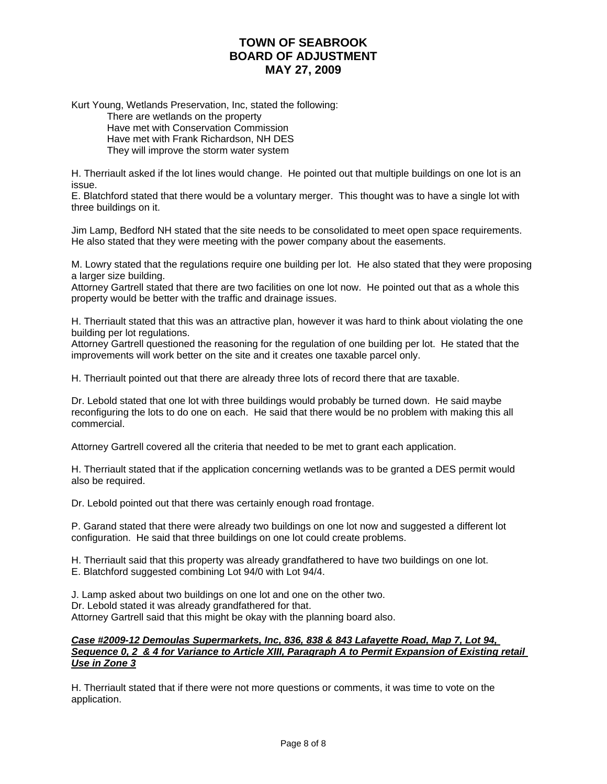Kurt Young, Wetlands Preservation, Inc, stated the following: There are wetlands on the property Have met with Conservation Commission Have met with Frank Richardson, NH DES They will improve the storm water system

H. Therriault asked if the lot lines would change. He pointed out that multiple buildings on one lot is an issue.

E. Blatchford stated that there would be a voluntary merger. This thought was to have a single lot with three buildings on it.

Jim Lamp, Bedford NH stated that the site needs to be consolidated to meet open space requirements. He also stated that they were meeting with the power company about the easements.

M. Lowry stated that the regulations require one building per lot. He also stated that they were proposing a larger size building.

Attorney Gartrell stated that there are two facilities on one lot now. He pointed out that as a whole this property would be better with the traffic and drainage issues.

H. Therriault stated that this was an attractive plan, however it was hard to think about violating the one building per lot regulations.

Attorney Gartrell questioned the reasoning for the regulation of one building per lot. He stated that the improvements will work better on the site and it creates one taxable parcel only.

H. Therriault pointed out that there are already three lots of record there that are taxable.

Dr. Lebold stated that one lot with three buildings would probably be turned down. He said maybe reconfiguring the lots to do one on each. He said that there would be no problem with making this all commercial.

Attorney Gartrell covered all the criteria that needed to be met to grant each application.

H. Therriault stated that if the application concerning wetlands was to be granted a DES permit would also be required.

Dr. Lebold pointed out that there was certainly enough road frontage.

P. Garand stated that there were already two buildings on one lot now and suggested a different lot configuration. He said that three buildings on one lot could create problems.

H. Therriault said that this property was already grandfathered to have two buildings on one lot. E. Blatchford suggested combining Lot 94/0 with Lot 94/4.

J. Lamp asked about two buildings on one lot and one on the other two. Dr. Lebold stated it was already grandfathered for that. Attorney Gartrell said that this might be okay with the planning board also.

#### *Case #2009-12 Demoulas Supermarkets, Inc, 836, 838 & 843 Lafayette Road, Map 7, Lot 94, Sequence 0, 2 & 4 for Variance to Article XIII, Paragraph A to Permit Expansion of Existing retail Use in Zone 3*

H. Therriault stated that if there were not more questions or comments, it was time to vote on the application.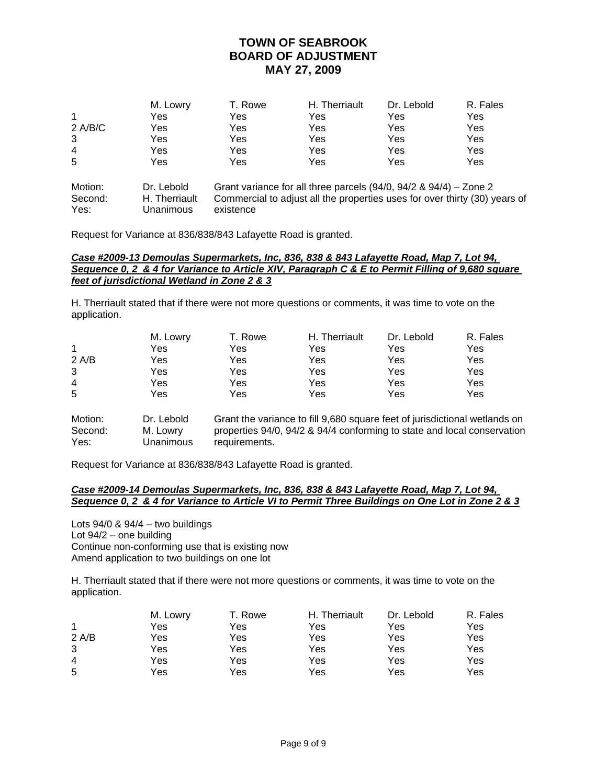|         | M. Lowry | T. Rowe | H. Therriault | Dr. Lebold | R. Fales |
|---------|----------|---------|---------------|------------|----------|
|         | Yes      | Yes     | Yes           | Yes        | Yes      |
| 2 A/B/C | Yes      | Yes     | Yes           | Yes        | Yes      |
| 3       | Yes      | Yes     | Yes           | Yes        | Yes      |
| 4       | Yes      | Yes     | Yes           | Yes        | Yes      |
| 5       | Yes      | Yes     | Yes           | Yes        | Yes      |

| Motion: | Dr. Lebold    | Grant variance for all three parcels $(94/0, 94/2, 8, 94/4)$ – Zone 2      |
|---------|---------------|----------------------------------------------------------------------------|
| Second: | H. Therriault | Commercial to adjust all the properties uses for over thirty (30) years of |
| Yes:    | Unanimous     | existence                                                                  |

Request for Variance at 836/838/843 Lafayette Road is granted.

### *Case #2009-13 Demoulas Supermarkets, Inc, 836, 838 & 843 Lafayette Road, Map 7, Lot 94, Sequence 0, 2 & 4 for Variance to Article XIV, Paragraph C & E to Permit Filling of 9,680 square feet of jurisdictional Wetland in Zone 2 & 3*

H. Therriault stated that if there were not more questions or comments, it was time to vote on the application.

|       | M. Lowry | T. Rowe | H. Therriault | Dr. Lebold | R. Fales |
|-------|----------|---------|---------------|------------|----------|
| 1     | Yes      | Yes     | Yes           | Yes        | Yes      |
| 2 A/B | Yes      | Yes     | Yes           | Yes        | Yes      |
| 3     | Yes      | Yes     | Yes           | Yes        | Yes      |
| 4     | Yes      | Yes     | Yes           | Yes        | Yes      |
| 5     | Yes      | Yes     | Yes           | Yes        | Yes      |
|       |          |         |               |            |          |

Motion: Dr. Lebold Grant the variance to fill 9,680 square feet of jurisdictional wetlands on Second: M. Lowry properties 94/0, 94/2 & 94/4 conforming to state and local conservation Yes: Unanimous requirements.

Request for Variance at 836/838/843 Lafayette Road is granted.

### *Case #2009-14 Demoulas Supermarkets, Inc, 836, 838 & 843 Lafayette Road, Map 7, Lot 94, Sequence 0, 2 & 4 for Variance to Article VI to Permit Three Buildings on One Lot in Zone 2 & 3*

Lots  $94/0$  &  $94/4$  – two buildings Lot 94/2 – one building Continue non-conforming use that is existing now Amend application to two buildings on one lot

H. Therriault stated that if there were not more questions or comments, it was time to vote on the application.

|                | M. Lowry | T. Rowe | H. Therriault | Dr. Lebold | R. Fales |
|----------------|----------|---------|---------------|------------|----------|
| 1              | Yes      | Yes     | Yes           | Yes        | Yes      |
| 2 A/B          | Yes      | Yes     | Yes           | Yes        | Yes      |
| 3              | Yes      | Yes     | Yes           | Yes        | Yes      |
| $\overline{4}$ | Yes      | Yes     | Yes           | Yes        | Yes      |
| 5              | Yes      | Yes     | Yes           | Yes        | Yes      |